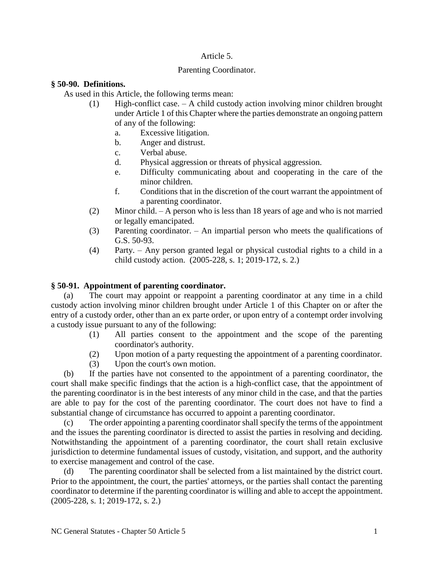# Article 5.

### Parenting Coordinator.

### **§ 50-90. Definitions.**

As used in this Article, the following terms mean:

- (1) High-conflict case. A child custody action involving minor children brought under Article 1 of this Chapter where the parties demonstrate an ongoing pattern of any of the following:
	- a. Excessive litigation.
	- b. Anger and distrust.
	- c. Verbal abuse.
	- d. Physical aggression or threats of physical aggression.
	- e. Difficulty communicating about and cooperating in the care of the minor children.
	- f. Conditions that in the discretion of the court warrant the appointment of a parenting coordinator.
- (2) Minor child. A person who is less than 18 years of age and who is not married or legally emancipated.
- (3) Parenting coordinator. An impartial person who meets the qualifications of G.S. 50-93.
- (4) Party. Any person granted legal or physical custodial rights to a child in a child custody action. (2005-228, s. 1; 2019-172, s. 2.)

# **§ 50-91. Appointment of parenting coordinator.**

(a) The court may appoint or reappoint a parenting coordinator at any time in a child custody action involving minor children brought under Article 1 of this Chapter on or after the entry of a custody order, other than an ex parte order, or upon entry of a contempt order involving a custody issue pursuant to any of the following:

- (1) All parties consent to the appointment and the scope of the parenting coordinator's authority.
- (2) Upon motion of a party requesting the appointment of a parenting coordinator.
- (3) Upon the court's own motion.

(b) If the parties have not consented to the appointment of a parenting coordinator, the court shall make specific findings that the action is a high-conflict case, that the appointment of the parenting coordinator is in the best interests of any minor child in the case, and that the parties are able to pay for the cost of the parenting coordinator. The court does not have to find a substantial change of circumstance has occurred to appoint a parenting coordinator.

(c) The order appointing a parenting coordinator shall specify the terms of the appointment and the issues the parenting coordinator is directed to assist the parties in resolving and deciding. Notwithstanding the appointment of a parenting coordinator, the court shall retain exclusive jurisdiction to determine fundamental issues of custody, visitation, and support, and the authority to exercise management and control of the case.

(d) The parenting coordinator shall be selected from a list maintained by the district court. Prior to the appointment, the court, the parties' attorneys, or the parties shall contact the parenting coordinator to determine if the parenting coordinator is willing and able to accept the appointment. (2005-228, s. 1; 2019-172, s. 2.)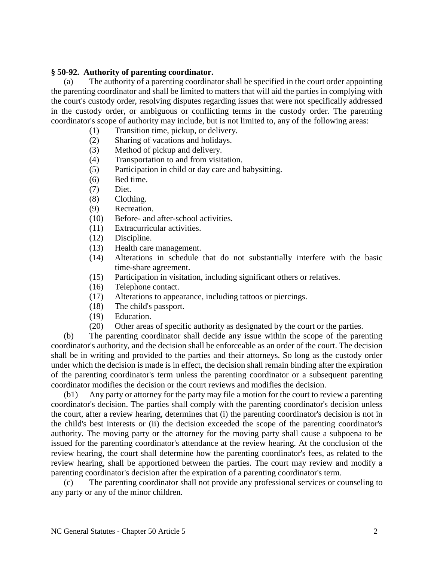### **§ 50-92. Authority of parenting coordinator.**

(a) The authority of a parenting coordinator shall be specified in the court order appointing the parenting coordinator and shall be limited to matters that will aid the parties in complying with the court's custody order, resolving disputes regarding issues that were not specifically addressed in the custody order, or ambiguous or conflicting terms in the custody order. The parenting coordinator's scope of authority may include, but is not limited to, any of the following areas:

- (1) Transition time, pickup, or delivery.
- (2) Sharing of vacations and holidays.
- (3) Method of pickup and delivery.
- (4) Transportation to and from visitation.
- (5) Participation in child or day care and babysitting.
- (6) Bed time.
- (7) Diet.
- (8) Clothing.
- (9) Recreation.
- (10) Before- and after-school activities.
- (11) Extracurricular activities.
- (12) Discipline.
- (13) Health care management.
- (14) Alterations in schedule that do not substantially interfere with the basic time-share agreement.
- (15) Participation in visitation, including significant others or relatives.
- (16) Telephone contact.
- (17) Alterations to appearance, including tattoos or piercings.
- (18) The child's passport.
- (19) Education.
- (20) Other areas of specific authority as designated by the court or the parties.

(b) The parenting coordinator shall decide any issue within the scope of the parenting coordinator's authority, and the decision shall be enforceable as an order of the court. The decision shall be in writing and provided to the parties and their attorneys. So long as the custody order under which the decision is made is in effect, the decision shall remain binding after the expiration of the parenting coordinator's term unless the parenting coordinator or a subsequent parenting coordinator modifies the decision or the court reviews and modifies the decision.

(b1) Any party or attorney for the party may file a motion for the court to review a parenting coordinator's decision. The parties shall comply with the parenting coordinator's decision unless the court, after a review hearing, determines that (i) the parenting coordinator's decision is not in the child's best interests or (ii) the decision exceeded the scope of the parenting coordinator's authority. The moving party or the attorney for the moving party shall cause a subpoena to be issued for the parenting coordinator's attendance at the review hearing. At the conclusion of the review hearing, the court shall determine how the parenting coordinator's fees, as related to the review hearing, shall be apportioned between the parties. The court may review and modify a parenting coordinator's decision after the expiration of a parenting coordinator's term.

(c) The parenting coordinator shall not provide any professional services or counseling to any party or any of the minor children.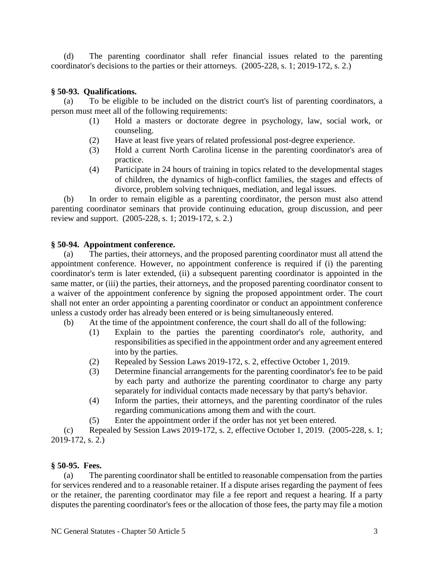(d) The parenting coordinator shall refer financial issues related to the parenting coordinator's decisions to the parties or their attorneys. (2005-228, s. 1; 2019-172, s. 2.)

## **§ 50-93. Qualifications.**

(a) To be eligible to be included on the district court's list of parenting coordinators, a person must meet all of the following requirements:

- (1) Hold a masters or doctorate degree in psychology, law, social work, or counseling.
- (2) Have at least five years of related professional post-degree experience.
- (3) Hold a current North Carolina license in the parenting coordinator's area of practice.
- (4) Participate in 24 hours of training in topics related to the developmental stages of children, the dynamics of high-conflict families, the stages and effects of divorce, problem solving techniques, mediation, and legal issues.

(b) In order to remain eligible as a parenting coordinator, the person must also attend parenting coordinator seminars that provide continuing education, group discussion, and peer review and support. (2005-228, s. 1; 2019-172, s. 2.)

### **§ 50-94. Appointment conference.**

(a) The parties, their attorneys, and the proposed parenting coordinator must all attend the appointment conference. However, no appointment conference is required if (i) the parenting coordinator's term is later extended, (ii) a subsequent parenting coordinator is appointed in the same matter, or (iii) the parties, their attorneys, and the proposed parenting coordinator consent to a waiver of the appointment conference by signing the proposed appointment order. The court shall not enter an order appointing a parenting coordinator or conduct an appointment conference unless a custody order has already been entered or is being simultaneously entered.

- (b) At the time of the appointment conference, the court shall do all of the following:
	- (1) Explain to the parties the parenting coordinator's role, authority, and responsibilities as specified in the appointment order and any agreement entered into by the parties.
	- (2) Repealed by Session Laws 2019-172, s. 2, effective October 1, 2019.
	- (3) Determine financial arrangements for the parenting coordinator's fee to be paid by each party and authorize the parenting coordinator to charge any party separately for individual contacts made necessary by that party's behavior.
	- (4) Inform the parties, their attorneys, and the parenting coordinator of the rules regarding communications among them and with the court.
	- (5) Enter the appointment order if the order has not yet been entered.

(c) Repealed by Session Laws 2019-172, s. 2, effective October 1, 2019. (2005-228, s. 1; 2019-172, s. 2.)

### **§ 50-95. Fees.**

(a) The parenting coordinator shall be entitled to reasonable compensation from the parties for services rendered and to a reasonable retainer. If a dispute arises regarding the payment of fees or the retainer, the parenting coordinator may file a fee report and request a hearing. If a party disputes the parenting coordinator's fees or the allocation of those fees, the party may file a motion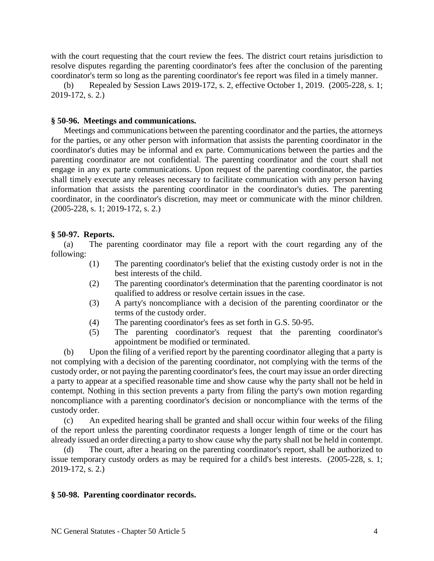with the court requesting that the court review the fees. The district court retains jurisdiction to resolve disputes regarding the parenting coordinator's fees after the conclusion of the parenting coordinator's term so long as the parenting coordinator's fee report was filed in a timely manner.

(b) Repealed by Session Laws 2019-172, s. 2, effective October 1, 2019. (2005-228, s. 1; 2019-172, s. 2.)

#### **§ 50-96. Meetings and communications.**

Meetings and communications between the parenting coordinator and the parties, the attorneys for the parties, or any other person with information that assists the parenting coordinator in the coordinator's duties may be informal and ex parte. Communications between the parties and the parenting coordinator are not confidential. The parenting coordinator and the court shall not engage in any ex parte communications. Upon request of the parenting coordinator, the parties shall timely execute any releases necessary to facilitate communication with any person having information that assists the parenting coordinator in the coordinator's duties. The parenting coordinator, in the coordinator's discretion, may meet or communicate with the minor children. (2005-228, s. 1; 2019-172, s. 2.)

#### **§ 50-97. Reports.**

(a) The parenting coordinator may file a report with the court regarding any of the following:

- (1) The parenting coordinator's belief that the existing custody order is not in the best interests of the child.
- (2) The parenting coordinator's determination that the parenting coordinator is not qualified to address or resolve certain issues in the case.
- (3) A party's noncompliance with a decision of the parenting coordinator or the terms of the custody order.
- (4) The parenting coordinator's fees as set forth in G.S. 50-95.
- (5) The parenting coordinator's request that the parenting coordinator's appointment be modified or terminated.

(b) Upon the filing of a verified report by the parenting coordinator alleging that a party is not complying with a decision of the parenting coordinator, not complying with the terms of the custody order, or not paying the parenting coordinator's fees, the court may issue an order directing a party to appear at a specified reasonable time and show cause why the party shall not be held in contempt. Nothing in this section prevents a party from filing the party's own motion regarding noncompliance with a parenting coordinator's decision or noncompliance with the terms of the custody order.

(c) An expedited hearing shall be granted and shall occur within four weeks of the filing of the report unless the parenting coordinator requests a longer length of time or the court has already issued an order directing a party to show cause why the party shall not be held in contempt.

(d) The court, after a hearing on the parenting coordinator's report, shall be authorized to issue temporary custody orders as may be required for a child's best interests. (2005-228, s. 1; 2019-172, s. 2.)

#### **§ 50-98. Parenting coordinator records.**